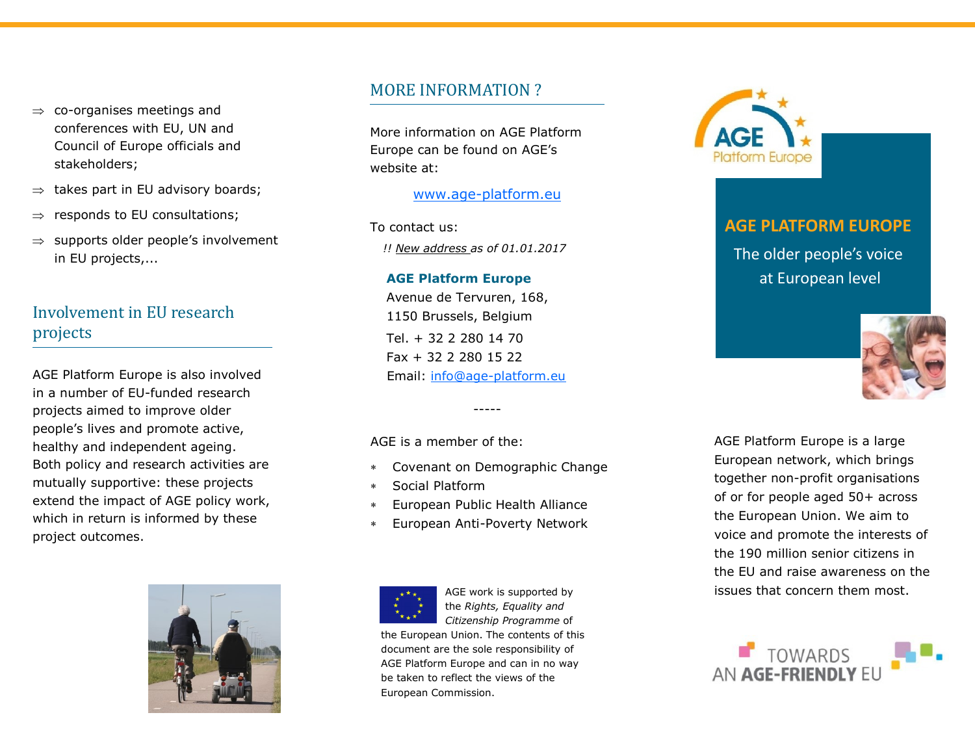- $\Rightarrow$  co-organises meetings and conferences with EU, UN and Council of Europe officials and stakeholders;
- $\Rightarrow$  takes part in EU advisory boards;
- $\Rightarrow$  responds to EU consultations;
- $\Rightarrow$  supports older people's involvement in EU projects,...

#### Involvement in EU research projects

AGE Platform Europe is also involved in a number of EU-funded research projects aimed to improve older people's lives and promote active, healthy and independent ageing. Both policy and research activities are mutually supportive: these projects extend the impact of AGE policy work, which in return is informed by these project outcomes.



#### MORE INFORMATION ?

More information on AGE Platform Europe can be found on AGE's website at:

#### [www.age-platform.eu](http://www.age-platform.eu)

To contact us: *!! New address as of 01.01.2017*

#### **AGE Platform Europe**

Avenue de Tervuren, 168, 1150 Brussels, Belgium Tel. + 32 2 280 14 70 Fax + 32 2 280 15 22 Email: [info@age-platform.eu](mailto:info@age-platform.eu)

AGE is a member of the:

Covenant on Demographic Change

-----

- Social Platform
- European Public Health Alliance
- European Anti-Poverty Network



AGE work is supported by the *Rights, Equality and Citizenship Programme* of

the European Union. The contents of this document are the sole responsibility of AGE Platform Europe and can in no way be taken to reflect the views of the European Commission.



# **AGE PLATFORM EUROPE**

The older people's voice at European level



AGE Platform Europe is a large European network, which brings together non-profit organisations of or for people aged 50+ across the European Union. We aim to voice and promote the interests of the 190 million senior citizens in the EU and raise awareness on the issues that concern them most.